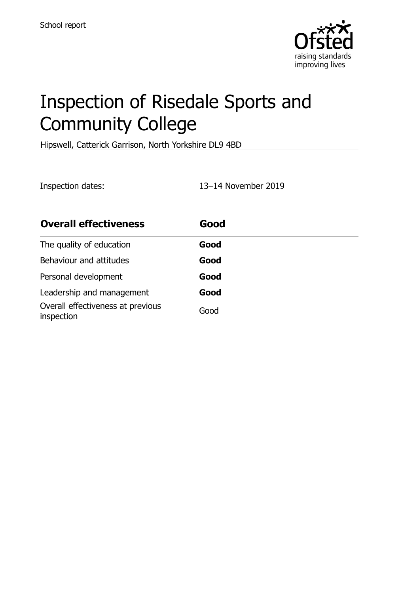

# Inspection of Risedale Sports and Community College

Hipswell, Catterick Garrison, North Yorkshire DL9 4BD

Inspection dates: 13–14 November 2019

| <b>Overall effectiveness</b>                    | Good |
|-------------------------------------------------|------|
| The quality of education                        | Good |
| Behaviour and attitudes                         | Good |
| Personal development                            | Good |
| Leadership and management                       | Good |
| Overall effectiveness at previous<br>inspection | Good |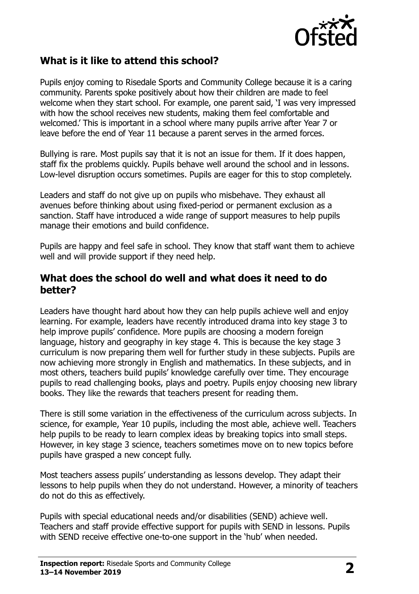

## **What is it like to attend this school?**

Pupils enjoy coming to Risedale Sports and Community College because it is a caring community. Parents spoke positively about how their children are made to feel welcome when they start school. For example, one parent said, 'I was very impressed with how the school receives new students, making them feel comfortable and welcomed.' This is important in a school where many pupils arrive after Year 7 or leave before the end of Year 11 because a parent serves in the armed forces.

Bullying is rare. Most pupils say that it is not an issue for them. If it does happen, staff fix the problems quickly. Pupils behave well around the school and in lessons. Low-level disruption occurs sometimes. Pupils are eager for this to stop completely.

Leaders and staff do not give up on pupils who misbehave. They exhaust all avenues before thinking about using fixed-period or permanent exclusion as a sanction. Staff have introduced a wide range of support measures to help pupils manage their emotions and build confidence.

Pupils are happy and feel safe in school. They know that staff want them to achieve well and will provide support if they need help.

#### **What does the school do well and what does it need to do better?**

Leaders have thought hard about how they can help pupils achieve well and enjoy learning. For example, leaders have recently introduced drama into key stage 3 to help improve pupils' confidence. More pupils are choosing a modern foreign language, history and geography in key stage 4. This is because the key stage 3 curriculum is now preparing them well for further study in these subjects. Pupils are now achieving more strongly in English and mathematics. In these subjects, and in most others, teachers build pupils' knowledge carefully over time. They encourage pupils to read challenging books, plays and poetry. Pupils enjoy choosing new library books. They like the rewards that teachers present for reading them.

There is still some variation in the effectiveness of the curriculum across subjects. In science, for example, Year 10 pupils, including the most able, achieve well. Teachers help pupils to be ready to learn complex ideas by breaking topics into small steps. However, in key stage 3 science, teachers sometimes move on to new topics before pupils have grasped a new concept fully.

Most teachers assess pupils' understanding as lessons develop. They adapt their lessons to help pupils when they do not understand. However, a minority of teachers do not do this as effectively.

Pupils with special educational needs and/or disabilities (SEND) achieve well. Teachers and staff provide effective support for pupils with SEND in lessons. Pupils with SEND receive effective one-to-one support in the 'hub' when needed.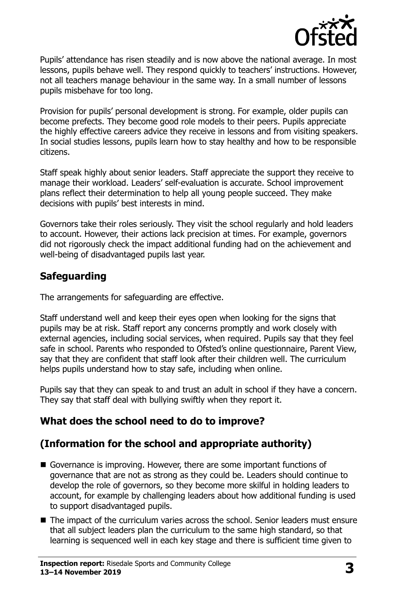

Pupils' attendance has risen steadily and is now above the national average. In most lessons, pupils behave well. They respond quickly to teachers' instructions. However, not all teachers manage behaviour in the same way. In a small number of lessons pupils misbehave for too long.

Provision for pupils' personal development is strong. For example, older pupils can become prefects. They become good role models to their peers. Pupils appreciate the highly effective careers advice they receive in lessons and from visiting speakers. In social studies lessons, pupils learn how to stay healthy and how to be responsible citizens.

Staff speak highly about senior leaders. Staff appreciate the support they receive to manage their workload. Leaders' self-evaluation is accurate. School improvement plans reflect their determination to help all young people succeed. They make decisions with pupils' best interests in mind.

Governors take their roles seriously. They visit the school regularly and hold leaders to account. However, their actions lack precision at times. For example, governors did not rigorously check the impact additional funding had on the achievement and well-being of disadvantaged pupils last year.

## **Safeguarding**

The arrangements for safeguarding are effective.

Staff understand well and keep their eyes open when looking for the signs that pupils may be at risk. Staff report any concerns promptly and work closely with external agencies, including social services, when required. Pupils say that they feel safe in school. Parents who responded to Ofsted's online questionnaire, Parent View, say that they are confident that staff look after their children well. The curriculum helps pupils understand how to stay safe, including when online.

Pupils say that they can speak to and trust an adult in school if they have a concern. They say that staff deal with bullying swiftly when they report it.

## **What does the school need to do to improve?**

## **(Information for the school and appropriate authority)**

- Governance is improving. However, there are some important functions of governance that are not as strong as they could be. Leaders should continue to develop the role of governors, so they become more skilful in holding leaders to account, for example by challenging leaders about how additional funding is used to support disadvantaged pupils.
- $\blacksquare$  The impact of the curriculum varies across the school. Senior leaders must ensure that all subject leaders plan the curriculum to the same high standard, so that learning is sequenced well in each key stage and there is sufficient time given to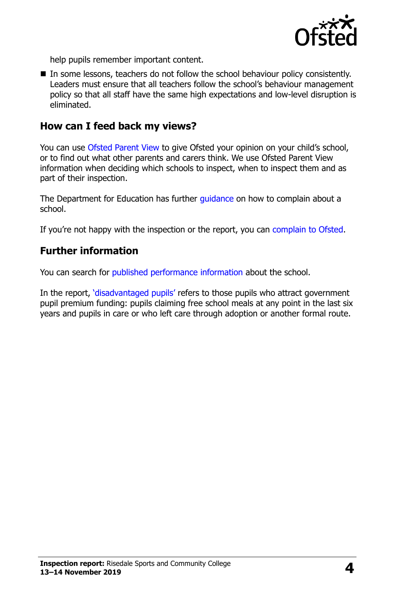

help pupils remember important content.

In some lessons, teachers do not follow the school behaviour policy consistently. Leaders must ensure that all teachers follow the school's behaviour management policy so that all staff have the same high expectations and low-level disruption is eliminated.

#### **How can I feed back my views?**

You can use [Ofsted Parent View](http://parentview.ofsted.gov.uk/) to give Ofsted your opinion on your child's school, or to find out what other parents and carers think. We use Ofsted Parent View information when deciding which schools to inspect, when to inspect them and as part of their inspection.

The Department for Education has further quidance on how to complain about a school.

If you're not happy with the inspection or the report, you can [complain to Ofsted.](http://www.gov.uk/complain-ofsted-report)

### **Further information**

You can search for [published performance information](http://www.compare-school-performance.service.gov.uk/) about the school.

In the report, '[disadvantaged pupils](http://www.gov.uk/guidance/pupil-premium-information-for-schools-and-alternative-provision-settings)' refers to those pupils who attract government pupil premium funding: pupils claiming free school meals at any point in the last six years and pupils in care or who left care through adoption or another formal route.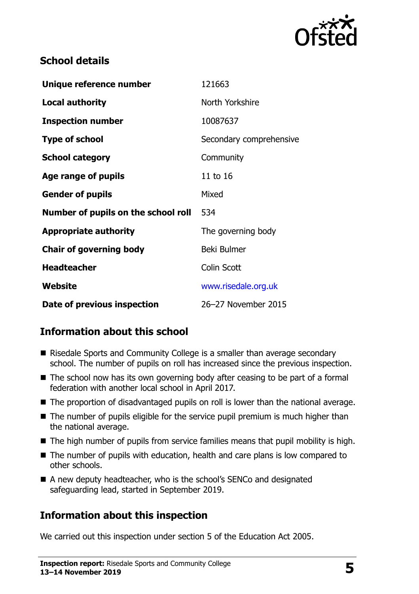

## **School details**

| Unique reference number             | 121663                  |
|-------------------------------------|-------------------------|
| <b>Local authority</b>              | North Yorkshire         |
| <b>Inspection number</b>            | 10087637                |
| <b>Type of school</b>               | Secondary comprehensive |
| <b>School category</b>              | Community               |
| Age range of pupils                 | 11 to 16                |
| <b>Gender of pupils</b>             | Mixed                   |
| Number of pupils on the school roll | 534                     |
| <b>Appropriate authority</b>        | The governing body      |
| <b>Chair of governing body</b>      | Beki Bulmer             |
| <b>Headteacher</b>                  | Colin Scott             |
| <b>Website</b>                      | www.risedale.org.uk     |
| Date of previous inspection         | 26-27 November 2015     |

## **Information about this school**

- Risedale Sports and Community College is a smaller than average secondary school. The number of pupils on roll has increased since the previous inspection.
- $\blacksquare$  The school now has its own governing body after ceasing to be part of a formal federation with another local school in April 2017.
- The proportion of disadvantaged pupils on roll is lower than the national average.
- The number of pupils eligible for the service pupil premium is much higher than the national average.
- $\blacksquare$  The high number of pupils from service families means that pupil mobility is high.
- The number of pupils with education, health and care plans is low compared to other schools.
- A new deputy headteacher, who is the school's SENCo and designated safeguarding lead, started in September 2019.

## **Information about this inspection**

We carried out this inspection under section 5 of the Education Act 2005.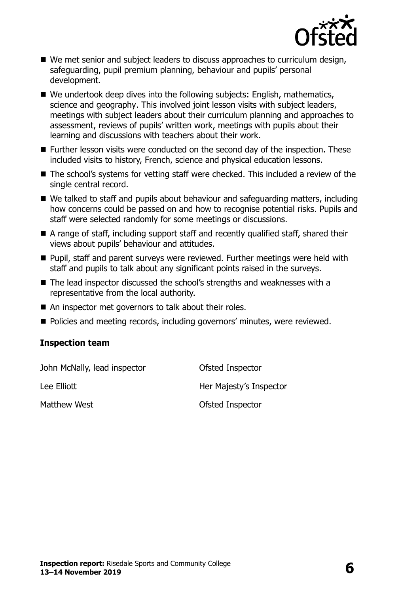

- We met senior and subject leaders to discuss approaches to curriculum design, safeguarding, pupil premium planning, behaviour and pupils' personal development.
- We undertook deep dives into the following subjects: English, mathematics, science and geography. This involved joint lesson visits with subject leaders, meetings with subject leaders about their curriculum planning and approaches to assessment, reviews of pupils' written work, meetings with pupils about their learning and discussions with teachers about their work.
- Further lesson visits were conducted on the second day of the inspection. These included visits to history, French, science and physical education lessons.
- The school's systems for vetting staff were checked. This included a review of the single central record.
- We talked to staff and pupils about behaviour and safeguarding matters, including how concerns could be passed on and how to recognise potential risks. Pupils and staff were selected randomly for some meetings or discussions.
- A range of staff, including support staff and recently qualified staff, shared their views about pupils' behaviour and attitudes.
- Pupil, staff and parent surveys were reviewed. Further meetings were held with staff and pupils to talk about any significant points raised in the surveys.
- The lead inspector discussed the school's strengths and weaknesses with a representative from the local authority.
- An inspector met governors to talk about their roles.
- Policies and meeting records, including governors' minutes, were reviewed.

#### **Inspection team**

John McNally, lead inspector **Ofsted Inspector** Lee Elliott **Her Majesty's Inspector** Matthew West **Matthew West** Christian Matthew West